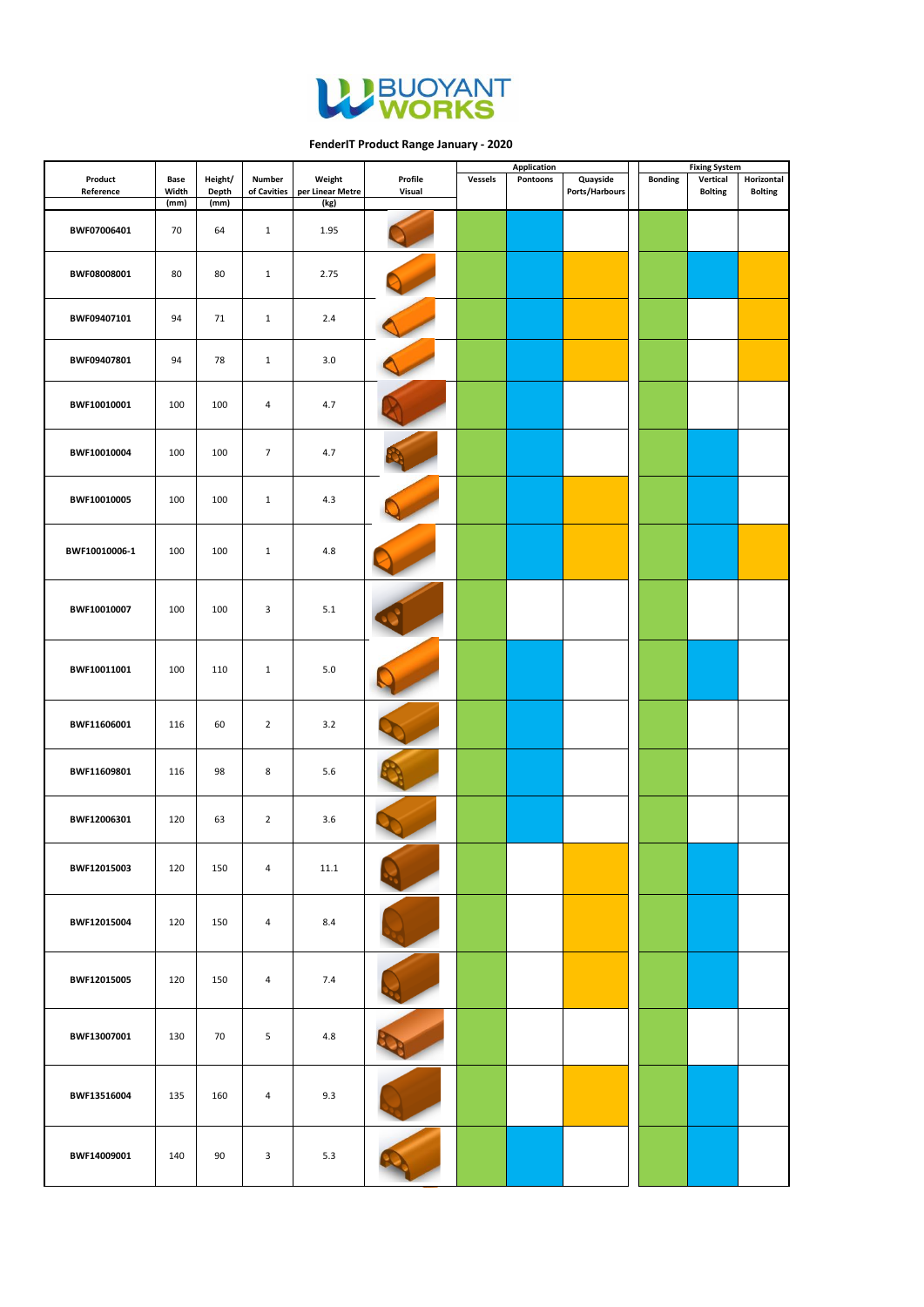

## **FenderIT Product Range January - 2020**

|               |       |         |                         |                  |         | Application |          |                |         |                                  |                |
|---------------|-------|---------|-------------------------|------------------|---------|-------------|----------|----------------|---------|----------------------------------|----------------|
| Product       | Base  | Height/ | Number                  | Weight           | Profile | Vessels     | Pontoons | Quayside       | Bonding | <b>Fixing System</b><br>Vertical | Horizontal     |
| Reference     | Width | Depth   | of Cavities             | per Linear Metre | Visual  |             |          | Ports/Harbours |         | <b>Bolting</b>                   | <b>Bolting</b> |
|               | (mm)  | (mm)    |                         | (kg)             |         |             |          |                |         |                                  |                |
| BWF07006401   | 70    | 64      | $\mathbf 1$             | 1.95             |         |             |          |                |         |                                  |                |
| BWF08008001   | 80    | 80      | $\mathbf 1$             | 2.75             |         |             |          |                |         |                                  |                |
| BWF09407101   | 94    | 71      | $\mathbf 1$             | 2.4              |         |             |          |                |         |                                  |                |
| BWF09407801   | 94    | 78      | $\mathbf 1$             | 3.0              |         |             |          |                |         |                                  |                |
| BWF10010001   | 100   | 100     | 4                       | 4.7              |         |             |          |                |         |                                  |                |
| BWF10010004   | 100   | 100     | $\overline{7}$          | 4.7              |         |             |          |                |         |                                  |                |
| BWF10010005   | 100   | 100     | $\mathbf 1$             | 4.3              |         |             |          |                |         |                                  |                |
| BWF10010006-1 | 100   | 100     | $\mathbf 1$             | 4.8              |         |             |          |                |         |                                  |                |
| BWF10010007   | 100   | 100     | $\mathsf 3$             | 5.1              |         |             |          |                |         |                                  |                |
| BWF10011001   | 100   | 110     | $\mathbf 1$             | 5.0              |         |             |          |                |         |                                  |                |
| BWF11606001   | 116   | 60      | $\sqrt{2}$              | 3.2              |         |             |          |                |         |                                  |                |
| BWF11609801   | 116   | 98      | 8                       | 5.6              |         |             |          |                |         |                                  |                |
| BWF12006301   | 120   | 63      | $\overline{2}$          | 3.6              |         |             |          |                |         |                                  |                |
| BWF12015003   | 120   | 150     | $\overline{4}$          | 11.1             |         |             |          |                |         |                                  |                |
| BWF12015004   | 120   | 150     | 4                       | 8.4              |         |             |          |                |         |                                  |                |
| BWF12015005   | 120   | 150     | $\overline{4}$          | 7.4              |         |             |          |                |         |                                  |                |
| BWF13007001   | 130   | 70      | 5                       | 4.8              |         |             |          |                |         |                                  |                |
| BWF13516004   | 135   | 160     | $\overline{4}$          | 9.3              |         |             |          |                |         |                                  |                |
| BWF14009001   | 140   | 90      | $\overline{\mathbf{3}}$ | 5.3              |         |             |          |                |         |                                  |                |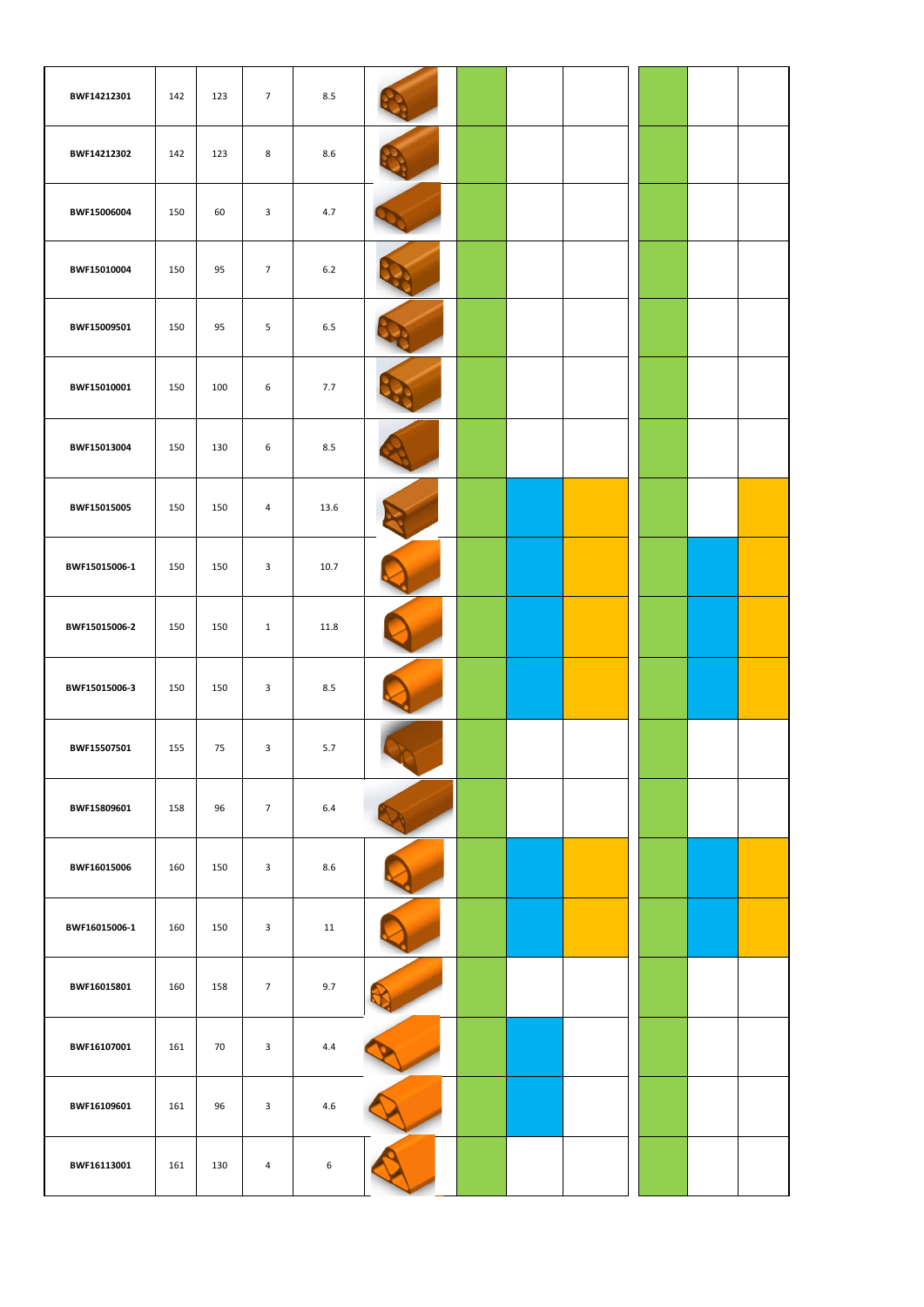| BWF14212301   | 142 | 123 | $7\overline{ }$ | 8.5         |  |  |  |  |
|---------------|-----|-----|-----------------|-------------|--|--|--|--|
| BWF14212302   | 142 | 123 | 8               | 8.6         |  |  |  |  |
| BWF15006004   | 150 | 60  | $\mathbf{3}$    | 4.7         |  |  |  |  |
| BWF15010004   | 150 | 95  | $7\overline{ }$ | $6.2$       |  |  |  |  |
| BWF15009501   | 150 | 95  | 5               | 6.5         |  |  |  |  |
| BWF15010001   | 150 | 100 | 6               | 7.7         |  |  |  |  |
| BWF15013004   | 150 | 130 | 6               | 8.5         |  |  |  |  |
| BWF15015005   | 150 | 150 | 4               | 13.6        |  |  |  |  |
| BWF15015006-1 | 150 | 150 | 3               | 10.7        |  |  |  |  |
| BWF15015006-2 | 150 | 150 | $\mathbf{1}$    | 11.8        |  |  |  |  |
| BWF15015006-3 | 150 | 150 | 3               | 8.5         |  |  |  |  |
| BWF15507501   | 155 | 75  | 3               | 5.7         |  |  |  |  |
| BWF15809601   | 158 | 96  | $\overline{7}$  | $6.4\,$     |  |  |  |  |
| BWF16015006   | 160 | 150 | 3               | 8.6         |  |  |  |  |
| BWF16015006-1 | 160 | 150 | 3               | 11          |  |  |  |  |
| BWF16015801   | 160 | 158 | $7\overline{ }$ | 9.7         |  |  |  |  |
| BWF16107001   | 161 | 70  | 3               | 4.4         |  |  |  |  |
| BWF16109601   | 161 | 96  | 3               | $4.6\,$     |  |  |  |  |
| BWF16113001   | 161 | 130 | 4               | $\,$ 6 $\,$ |  |  |  |  |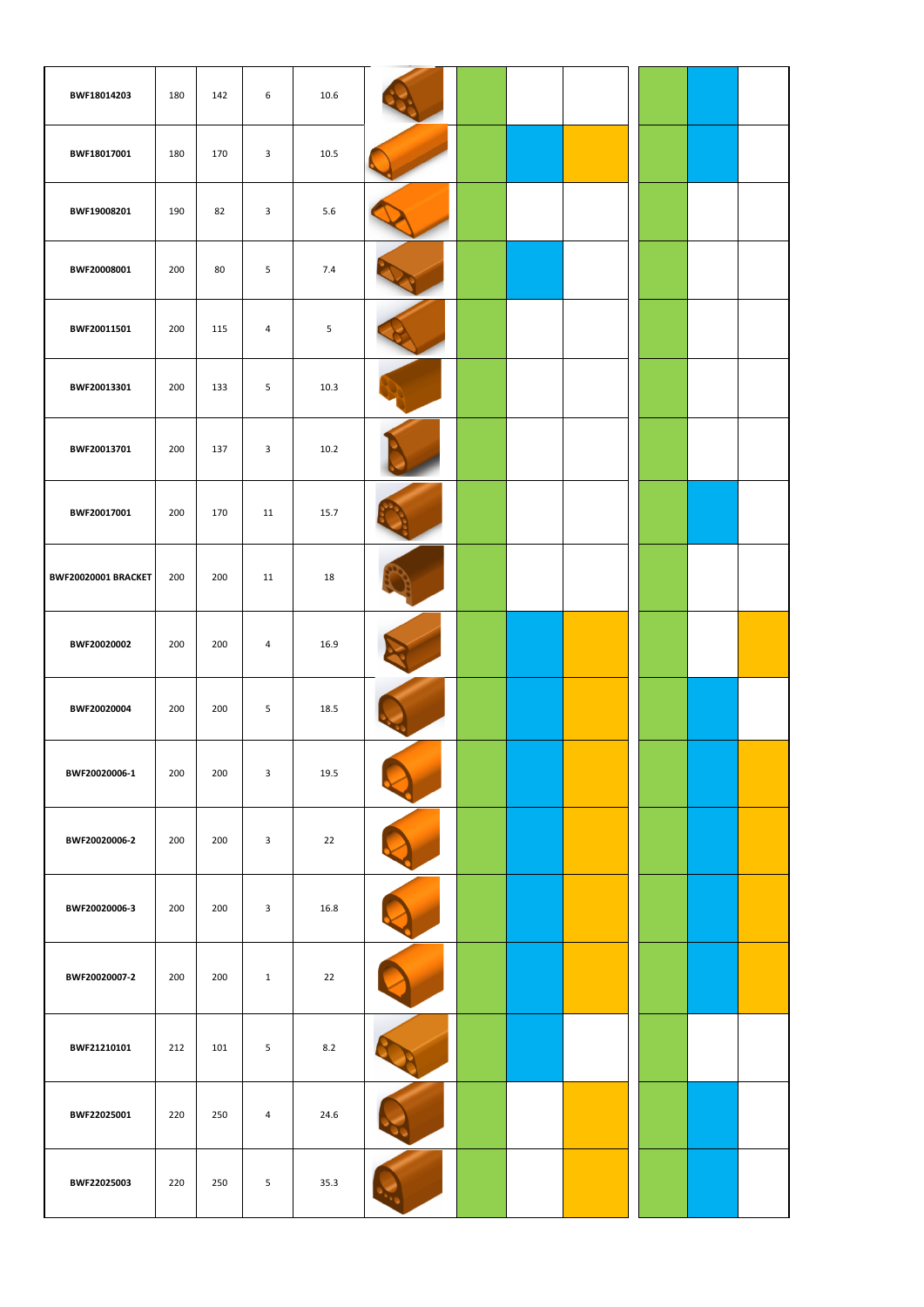| BWF18014203         | 180 | 142 | 6                       | 10.6 |  |  |  |  |
|---------------------|-----|-----|-------------------------|------|--|--|--|--|
| BWF18017001         | 180 | 170 | 3                       | 10.5 |  |  |  |  |
| BWF19008201         | 190 | 82  | 3                       | 5.6  |  |  |  |  |
| BWF20008001         | 200 | 80  | 5                       | 7.4  |  |  |  |  |
| BWF20011501         | 200 | 115 | 4                       | 5    |  |  |  |  |
| BWF20013301         | 200 | 133 | 5                       | 10.3 |  |  |  |  |
| BWF20013701         | 200 | 137 | 3                       | 10.2 |  |  |  |  |
| BWF20017001         | 200 | 170 | 11                      | 15.7 |  |  |  |  |
| BWF20020001 BRACKET | 200 | 200 | 11                      | 18   |  |  |  |  |
| BWF20020002         | 200 | 200 | 4                       | 16.9 |  |  |  |  |
| BWF20020004         | 200 | 200 | 5                       | 18.5 |  |  |  |  |
| BWF20020006-1       | 200 | 200 | $\mathbf{3}$            | 19.5 |  |  |  |  |
| BWF20020006-2       | 200 | 200 | $\overline{\mathbf{3}}$ | 22   |  |  |  |  |
| BWF20020006-3       | 200 | 200 | $\mathbf{3}$            | 16.8 |  |  |  |  |
| BWF20020007-2       | 200 | 200 | $\mathbf{1}$            | 22   |  |  |  |  |
| BWF21210101         | 212 | 101 | 5                       | 8.2  |  |  |  |  |
| BWF22025001         | 220 | 250 | 4                       | 24.6 |  |  |  |  |
| BWF22025003         | 220 | 250 | 5                       | 35.3 |  |  |  |  |